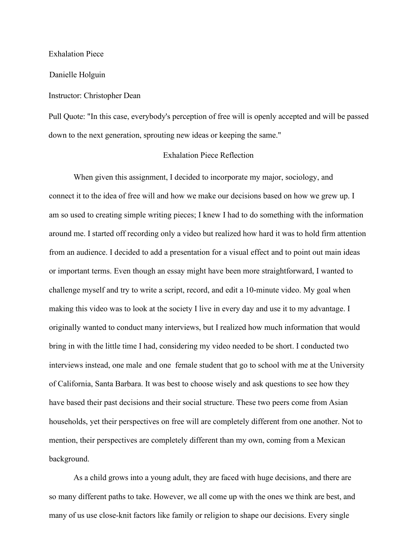Exhalation Piece

Danielle Holguin

## Instructor: Christopher Dean

Pull Quote: "In this case, everybody's perception of free will is openly accepted and will be passed down to the next generation, sprouting new ideas or keeping the same."

## Exhalation Piece Reflection

When given this assignment, I decided to incorporate my major, sociology, and connect it to the idea of free will and how we make our decisions based on how we grew up. I am so used to creating simple writing pieces; I knew I had to do something with the information around me. I started off recording only a video but realized how hard it was to hold firm attention from an audience. I decided to add a presentation for a visual effect and to point out main ideas or important terms. Even though an essay might have been more straightforward, I wanted to challenge myself and try to write a script, record, and edit a 10-minute video. My goal when making this video was to look at the society I live in every day and use it to my advantage. I originally wanted to conduct many interviews, but I realized how much information that would bring in with the little time I had, considering my video needed to be short. I conducted two interviews instead, one male and one female student that go to school with me at the University of California, Santa Barbara. It was best to choose wisely and ask questions to see how they have based their past decisions and their social structure. These two peers come from Asian households, yet their perspectives on free will are completely different from one another. Not to mention, their perspectives are completely different than my own, coming from a Mexican background.

As a child grows into a young adult, they are faced with huge decisions, and there are so many different paths to take. However, we all come up with the ones we think are best, and many of us use close-knit factors like family or religion to shape our decisions. Every single